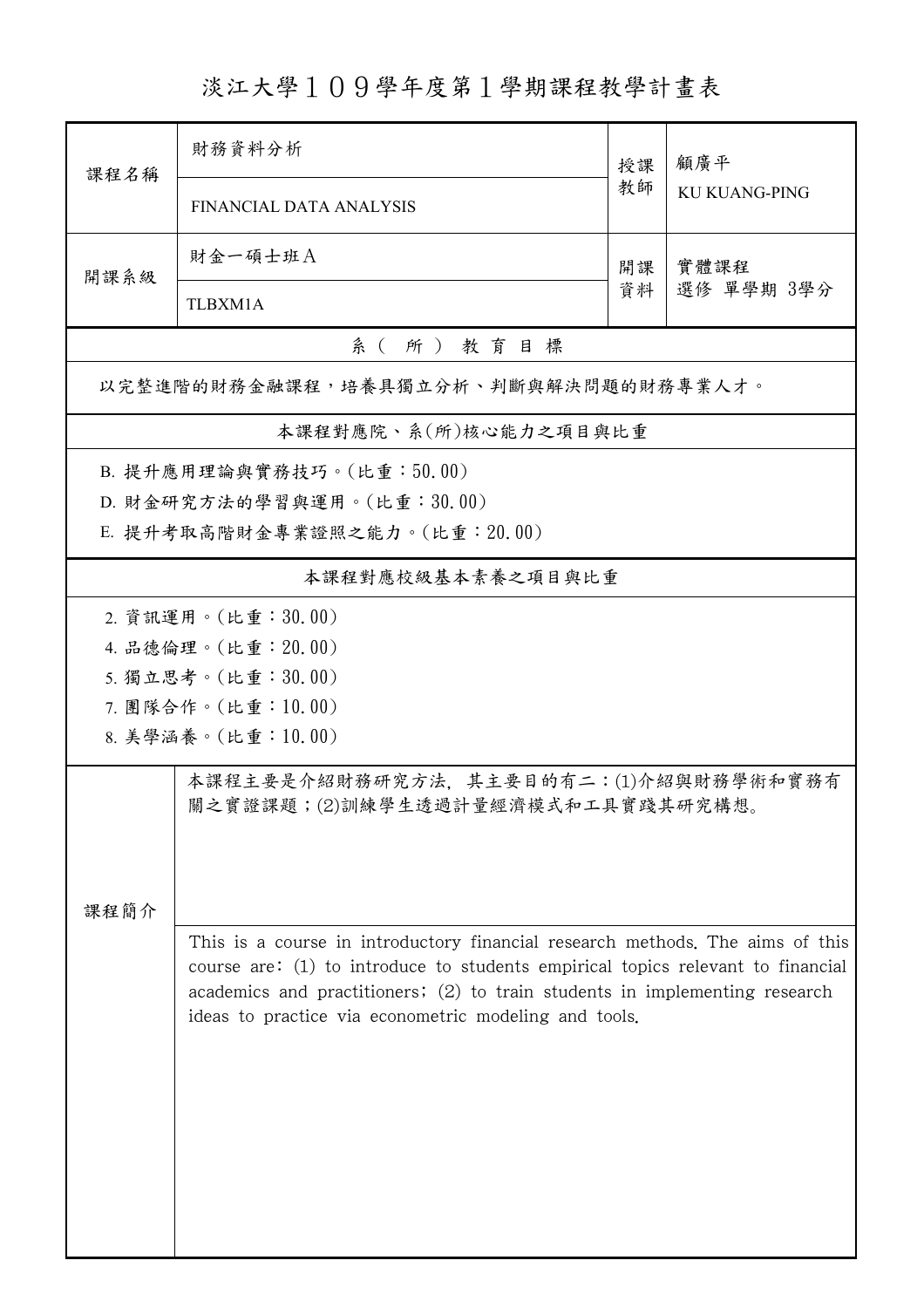淡江大學109學年度第1學期課程教學計畫表

| 課程名稱                                 | 財務資料分析                                                                          | 授課       | 顧廣平<br><b>KU KUANG-PING</b> |  |  |  |  |  |  |
|--------------------------------------|---------------------------------------------------------------------------------|----------|-----------------------------|--|--|--|--|--|--|
|                                      | FINANCIAL DATA ANALYSIS                                                         | 教師       |                             |  |  |  |  |  |  |
| 開課系級                                 | 財金一碩士班A                                                                         | 開課<br>資料 | 實體課程<br>選修 單學期 3學分          |  |  |  |  |  |  |
|                                      | TLBXM1A                                                                         |          |                             |  |  |  |  |  |  |
| 系(所)教育目標                             |                                                                                 |          |                             |  |  |  |  |  |  |
| 以完整進階的財務金融課程,培養具獨立分析、判斷與解決問題的財務專業人才。 |                                                                                 |          |                             |  |  |  |  |  |  |
| 本課程對應院、系(所)核心能力之項目與比重                |                                                                                 |          |                             |  |  |  |  |  |  |
| B. 提升應用理論與實務技巧。(比重:50.00)            |                                                                                 |          |                             |  |  |  |  |  |  |
|                                      | D. 財金研究方法的學習與運用。(比重:30.00)                                                      |          |                             |  |  |  |  |  |  |
| E. 提升考取高階財金專業證照之能力。(比重: 20.00)       |                                                                                 |          |                             |  |  |  |  |  |  |
| 本課程對應校級基本素養之項目與比重                    |                                                                                 |          |                             |  |  |  |  |  |  |
| 2. 資訊運用。(比重:30.00)                   |                                                                                 |          |                             |  |  |  |  |  |  |
|                                      | 4. 品德倫理。(比重: 20.00)                                                             |          |                             |  |  |  |  |  |  |
|                                      | 5. 獨立思考。(比重:30.00)                                                              |          |                             |  |  |  |  |  |  |
| 7. 團隊合作。(比重:10.00)                   |                                                                                 |          |                             |  |  |  |  |  |  |
| 8. 美學涵養。(比重:10.00)                   |                                                                                 |          |                             |  |  |  |  |  |  |
|                                      | 本課程主要是介紹財務研究方法,其主要目的有二:(1)介紹與財務學術和實務有                                           |          |                             |  |  |  |  |  |  |
|                                      | 關之實證課題;(2)訓練學生透過計量經濟模式和工具實踐其研究構想。                                               |          |                             |  |  |  |  |  |  |
|                                      |                                                                                 |          |                             |  |  |  |  |  |  |
|                                      |                                                                                 |          |                             |  |  |  |  |  |  |
| 课程简介                                 |                                                                                 |          |                             |  |  |  |  |  |  |
|                                      | This is a course in introductory financial research methods. The aims of this   |          |                             |  |  |  |  |  |  |
|                                      | course are: (1) to introduce to students empirical topics relevant to financial |          |                             |  |  |  |  |  |  |
|                                      | academics and practitioners; (2) to train students in implementing research     |          |                             |  |  |  |  |  |  |
|                                      | ideas to practice via econometric modeling and tools.                           |          |                             |  |  |  |  |  |  |
|                                      |                                                                                 |          |                             |  |  |  |  |  |  |
|                                      |                                                                                 |          |                             |  |  |  |  |  |  |
|                                      |                                                                                 |          |                             |  |  |  |  |  |  |
|                                      |                                                                                 |          |                             |  |  |  |  |  |  |
|                                      |                                                                                 |          |                             |  |  |  |  |  |  |
|                                      |                                                                                 |          |                             |  |  |  |  |  |  |
|                                      |                                                                                 |          |                             |  |  |  |  |  |  |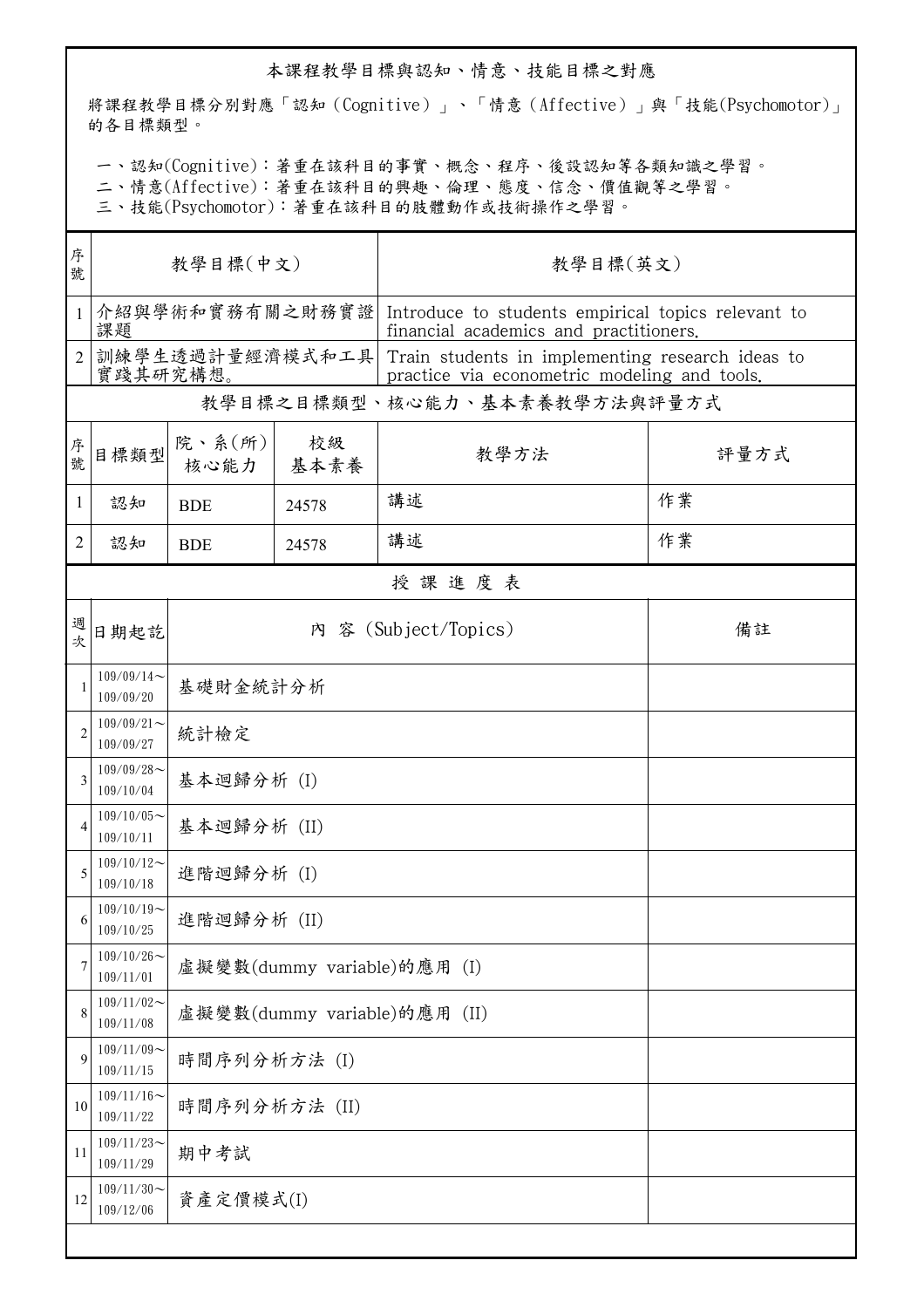## 本課程教學目標與認知、情意、技能目標之對應

將課程教學目標分別對應「認知(Cognitive)」、「情意(Affective)」與「技能(Psychomotor)」 的各目標類型。

一、認知(Cognitive):著重在該科目的事實、概念、程序、後設認知等各類知識之學習。

二、情意(Affective):著重在該科目的興趣、倫理、態度、信念、價值觀等之學習。

三、技能(Psychomotor):著重在該科目的肢體動作或技術操作之學習。

| 序<br>號         | 教學目標(中文)                     |                              |            | 教學目標(英文)                                                                                         |      |  |  |  |  |  |
|----------------|------------------------------|------------------------------|------------|--------------------------------------------------------------------------------------------------|------|--|--|--|--|--|
| $\mathbf{1}$   | 介紹與學術和實務有關之財務實證<br>課題        |                              |            | Introduce to students empirical topics relevant to<br>financial academics and practitioners.     |      |  |  |  |  |  |
| $\overline{2}$ | 訓練學生透過計量經濟模式和工具<br>實踐其研究構想。  |                              |            | Train students in implementing research ideas to<br>practice via econometric modeling and tools. |      |  |  |  |  |  |
|                | 教學目標之目標類型、核心能力、基本素養教學方法與評量方式 |                              |            |                                                                                                  |      |  |  |  |  |  |
| 序號             | 目標類型                         | 院、系(所)<br>核心能力               | 校級<br>基本素養 | 教學方法                                                                                             | 評量方式 |  |  |  |  |  |
| $\mathbf{1}$   | 認知                           | <b>BDE</b>                   | 24578      | 講述                                                                                               | 作業   |  |  |  |  |  |
| 2              | 認知                           | <b>BDE</b>                   | 24578      | 講述                                                                                               | 作業   |  |  |  |  |  |
|                | 授課進度表                        |                              |            |                                                                                                  |      |  |  |  |  |  |
| 週次             | 日期起訖                         | 內 容 (Subject/Topics)         |            |                                                                                                  | 備註   |  |  |  |  |  |
| 1              | $109/09/14$ ~<br>109/09/20   | 基礎財金統計分析                     |            |                                                                                                  |      |  |  |  |  |  |
| $\overline{2}$ | $109/09/21$ ~<br>109/09/27   | 統計檢定                         |            |                                                                                                  |      |  |  |  |  |  |
| 3              | $109/09/28$ ~<br>109/10/04   | 基本迴歸分析 (I)                   |            |                                                                                                  |      |  |  |  |  |  |
| 4              | $109/10/05$ ~<br>109/10/11   | 基本迴歸分析 (II)                  |            |                                                                                                  |      |  |  |  |  |  |
| 5              | $109/10/12$ ~<br>109/10/18   | 進階迴歸分析 (I)                   |            |                                                                                                  |      |  |  |  |  |  |
| 6              | $109/10/19$ ~<br>109/10/25   | 進階迴歸分析 (II)                  |            |                                                                                                  |      |  |  |  |  |  |
|                | $109/10/26$ ~<br>109/11/01   | 虛擬變數(dummy variable)的應用 (I)  |            |                                                                                                  |      |  |  |  |  |  |
| 8              | $109/11/02$ ~<br>109/11/08   | 虛擬變數(dummy variable)的應用 (II) |            |                                                                                                  |      |  |  |  |  |  |
| 9              | $109/11/09$ ~<br>109/11/15   | 時間序列分析方法 (I)                 |            |                                                                                                  |      |  |  |  |  |  |
| 10             | $109/11/16$ ~<br>109/11/22   | 時間序列分析方法 (II)                |            |                                                                                                  |      |  |  |  |  |  |
| 11             | $109/11/23$ ~<br>109/11/29   | 期中考試                         |            |                                                                                                  |      |  |  |  |  |  |
| 12             | $109/11/30$ ~<br>109/12/06   | 資產定價模式(I)                    |            |                                                                                                  |      |  |  |  |  |  |
|                |                              |                              |            |                                                                                                  |      |  |  |  |  |  |